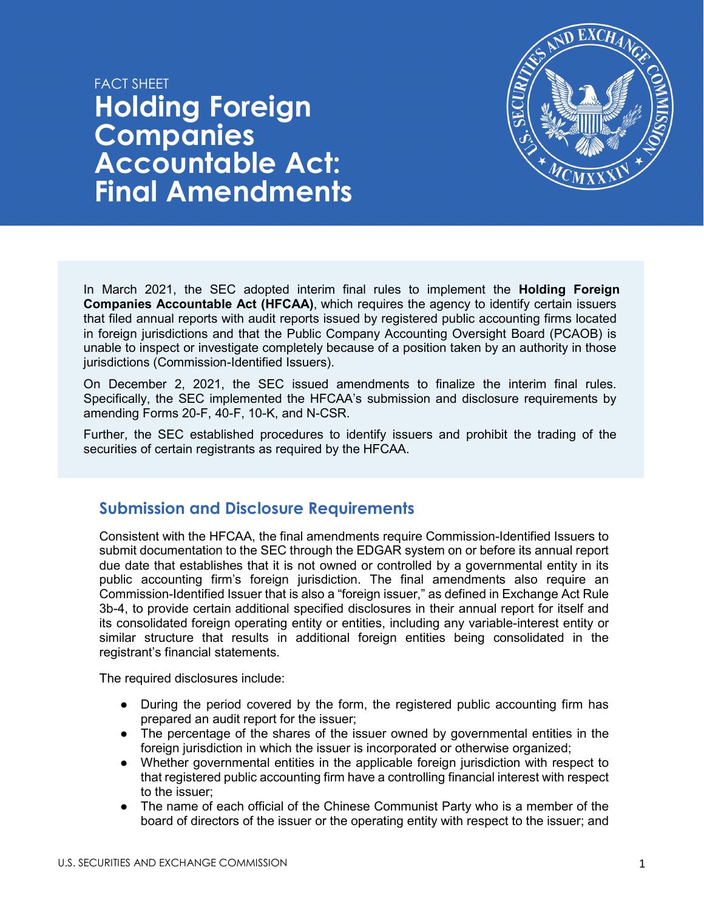



In March 2021, the SEC adopted interim final rules to implement the **Holding Foreign Companies Accountable Act (HFCAA)**, which requires the agency to identify certain issuers that filed annual reports with audit reports issued by registered public accounting firms located in foreign jurisdictions and that the Public Company Accounting Oversight Board (PCAOB) is unable to inspect or investigate completely because of a position taken by an authority in those jurisdictions (Commission-Identified Issuers).

On December 2, 2021, the SEC issued amendments to finalize the interim final rules. Specifically, the SEC implemented the HFCAA's submission and disclosure requirements by amending Forms 20-F, 40-F, 10-K, and N-CSR.

Further, the SEC established procedures to identify issuers and prohibit the trading of the securities of certain registrants as required by the HFCAA.

# **Submission and Disclosure Requirements**

Consistent with the HFCAA, the final amendments require Commission-Identified Issuers to submit documentation to the SEC through the EDGAR system on or before its annual report due date that establishes that it is not owned or controlled by a governmental entity in its public accounting firm's foreign jurisdiction. The final amendments also require an Commission-Identified Issuer that is also a "foreign issuer," as defined in Exchange Act Rule 3b-4, to provide certain additional specified disclosures in their annual report for itself and its consolidated foreign operating entity or entities, including any variable-interest entity or similar structure that results in additional foreign entities being consolidated in the registrant's financial statements.

The required disclosures include:

- During the period covered by the form, the registered public accounting firm has prepared an audit report for the issuer;
- The percentage of the shares of the issuer owned by governmental entities in the foreign jurisdiction in which the issuer is incorporated or otherwise organized;
- Whether governmental entities in the applicable foreign jurisdiction with respect to that registered public accounting firm have a controlling financial interest with respect to the issuer;
- The name of each official of the Chinese Communist Party who is a member of the board of directors of the issuer or the operating entity with respect to the issuer; and